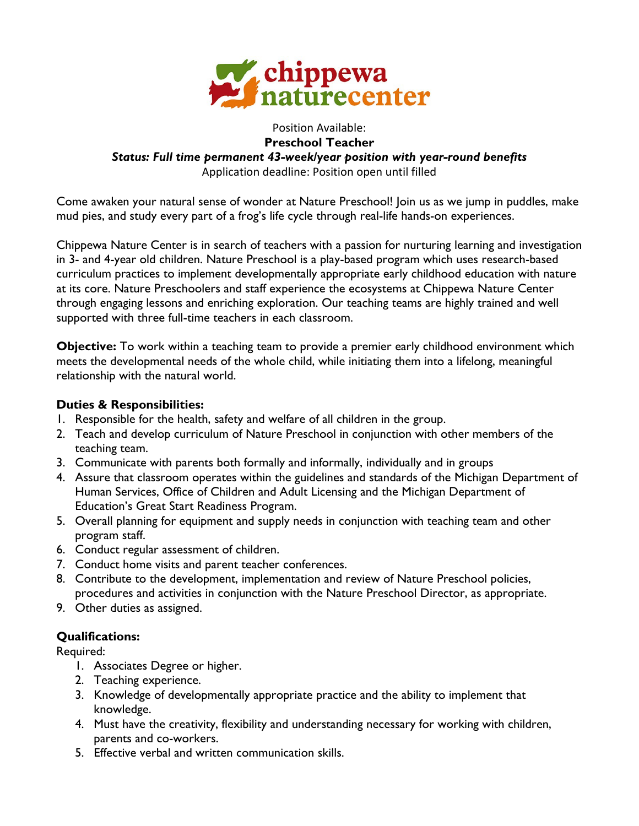

### Position Available: **Preschool Teacher** *Status: Full time permanent 43-week/year position with year-round benefits* Application deadline: Position open until filled

Come awaken your natural sense of wonder at Nature Preschool! Join us as we jump in puddles, make mud pies, and study every part of a frog's life cycle through real-life hands-on experiences.

Chippewa Nature Center is in search of teachers with a passion for nurturing learning and investigation in 3- and 4-year old children. Nature Preschool is a play-based program which uses research-based curriculum practices to implement developmentally appropriate early childhood education with nature at its core. Nature Preschoolers and staff experience the ecosystems at Chippewa Nature Center through engaging lessons and enriching exploration. Our teaching teams are highly trained and well supported with three full-time teachers in each classroom.

**Objective:** To work within a teaching team to provide a premier early childhood environment which meets the developmental needs of the whole child, while initiating them into a lifelong, meaningful relationship with the natural world.

# **Duties & Responsibilities:**

- 1. Responsible for the health, safety and welfare of all children in the group.
- 2. Teach and develop curriculum of Nature Preschool in conjunction with other members of the teaching team.
- 3. Communicate with parents both formally and informally, individually and in groups
- 4. Assure that classroom operates within the guidelines and standards of the Michigan Department of Human Services, Office of Children and Adult Licensing and the Michigan Department of Education's Great Start Readiness Program.
- 5. Overall planning for equipment and supply needs in conjunction with teaching team and other program staff.
- 6. Conduct regular assessment of children.
- 7. Conduct home visits and parent teacher conferences.
- 8. Contribute to the development, implementation and review of Nature Preschool policies, procedures and activities in conjunction with the Nature Preschool Director, as appropriate.
- 9. Other duties as assigned.

# **Qualifications:**

Required:

- 1. Associates Degree or higher.
- 2. Teaching experience.
- 3. Knowledge of developmentally appropriate practice and the ability to implement that knowledge.
- 4. Must have the creativity, flexibility and understanding necessary for working with children, parents and co-workers.
- 5. Effective verbal and written communication skills.